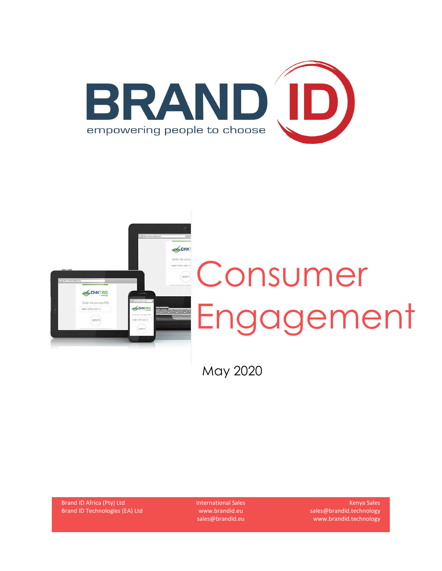



May 2020

Brand ID Africa (Pty) Ltd Brand ID Technologies (EA) Ltd International Sales www.brandid.eu sales@brandid.eu

Kenya Sales sales@brandid.technology www.brandid.technology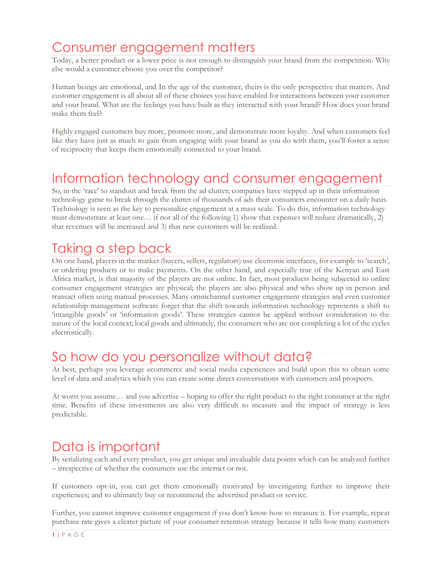# Consumer engagement matters

Today, a better product or a lower price is not enough to distinguish your brand from the competition. Why else would a customer choose you over the competitor?

Human beings are emotional, and In the age of the customer, theirs is the only perspective that matters. And customer engagement is all about all of these choices you have enabled for interactions between your customer and your brand. What are the feelings you have built as they interacted with your brand? How does your brand make them feel?

Highly engaged customers buy more, promote more, and demonstrate more loyalty. And when customers feel like they have just as much to gain from engaging with your brand as you do with them, you'll foster a sense of reciprocity that keeps them emotionally connected to your brand.

#### Information technology and consumer engagement

So, in the 'race' to standout and break from the ad clutter; companies have stepped up in their information technology game to break through the clutter of thousands of ads their consumers encounter on a daily basis. Technology is seen as the key to personalize engagement at a mass scale. To do this, information technology must demonstrate at least one… if not all of the following 1) show that expenses will reduce dramatically, 2) that revenues will be increased and 3) that new customers will be realized.

# Taking a step back

On one hand, players in the market (buyers, sellers, regulators) use electronic interfaces, for example to 'search', or ordering products or to make payments. On the other hand, and especially true of the Kenyan and East Africa market, is that majority of the players are not online. In fact, most products being subjected to online consumer engagement strategies are physical; the players are also physical and who show up in person and transact often using manual processes. Many omnichannel customer engagement strategies and even customer relationship management software forget that the shift towards information technology represents a shift to 'intangible goods' or 'information goods'. These strategies cannot be applied without consideration to the nature of the local context; local goods and ultimately, the consumers who are not completing a lot of the cycles electronically.

# So how do you personalize without data?

At best, perhaps you leverage ecommerce and social media experiences and build upon this to obtain some level of data and analytics which you can create some direct conversations with customers and prospects.

At worst you assume… and you advertise – hoping to offer the right product to the right consumer at the right time. Benefits of these investments are also very difficult to measure and the impact of strategy is less predictable.

#### Data is important

By serializing each and every product, you get unique and invaluable data points which can be analyzed further – irrespective of whether the consumers use the internet or not.

If customers opt-in, you can get them emotionally motivated by investigating further to improve their experiences; and to ultimately buy or recommend the advertised product or service.

Further, you cannot improve customer engagement if you don't know how to measure it. For example, repeat purchase rate gives a clearer picture of your consumer retention strategy because it tells how many customers